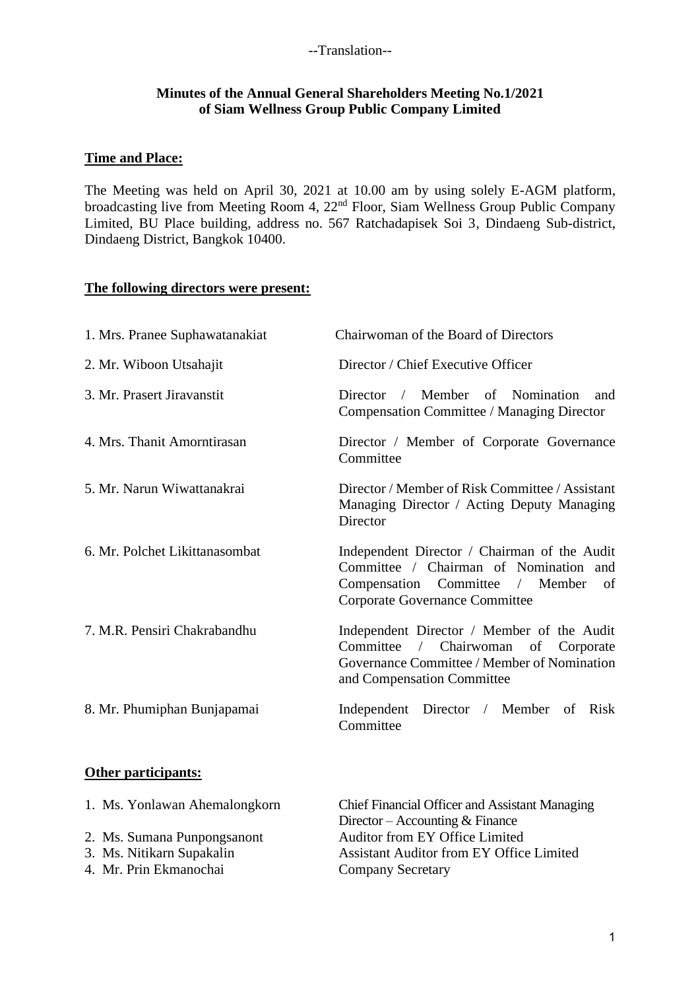#### **Minutes of the Annual General Shareholders Meeting No.1/2021 of Siam Wellness Group Public Company Limited**

#### **Time and Place:**

The Meeting was held on April 30, 2021 at 10.00 am by using solely E-AGM platform, broadcasting live from Meeting Room 4, 22nd Floor, Siam Wellness Group Public Company Limited, BU Place building, address no. 567 Ratchadapisek Soi 3, Dindaeng Sub-district, Dindaeng District, Bangkok 10400.

#### **The following directors were present:**

| 1. Mrs. Pranee Suphawatanakiat | Chairwoman of the Board of Directors                                                                                                                                         |
|--------------------------------|------------------------------------------------------------------------------------------------------------------------------------------------------------------------------|
| 2. Mr. Wiboon Utsahajit        | Director / Chief Executive Officer                                                                                                                                           |
| 3. Mr. Prasert Jiravanstit     | Director / Member of Nomination<br>and<br>Compensation Committee / Managing Director                                                                                         |
| 4. Mrs. Thanit Amorntirasan    | Director / Member of Corporate Governance<br>Committee                                                                                                                       |
| 5. Mr. Narun Wiwattanakrai     | Director / Member of Risk Committee / Assistant<br>Managing Director / Acting Deputy Managing<br>Director                                                                    |
| 6. Mr. Polchet Likittanasombat | Independent Director / Chairman of the Audit<br>Committee / Chairman of Nomination and<br>Compensation Committee / Member<br><sub>of</sub><br>Corporate Governance Committee |
| 7. M.R. Pensiri Chakrabandhu   | Independent Director / Member of the Audit<br>Committee / Chairwoman of Corporate<br>Governance Committee / Member of Nomination<br>and Compensation Committee               |
| 8. Mr. Phumiphan Bunjapamai    | Independent Director / Member of Risk<br>Committee                                                                                                                           |

#### **Other participants:**

| 1. Ms. Yonlawan Ahemalongkorn | <b>Chief Financial Officer and Assistant Managing</b> |
|-------------------------------|-------------------------------------------------------|
|                               | Director – Accounting $& \text{Finance}$              |
| 2. Ms. Sumana Punpongsanont   | Auditor from EY Office Limited                        |
| 3. Ms. Nitikarn Supakalin     | <b>Assistant Auditor from EY Office Limited</b>       |
| 4. Mr. Prin Ekmanochai        | <b>Company Secretary</b>                              |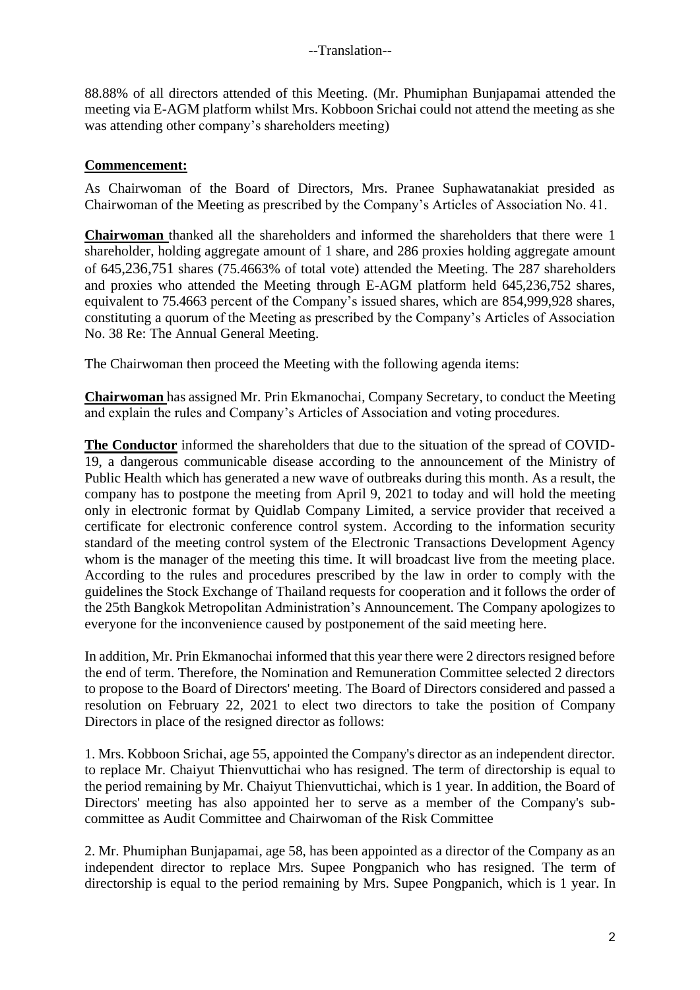88.88% of all directors attended of this Meeting. (Mr. Phumiphan Bunjapamai attended the meeting via E-AGM platform whilst Mrs. Kobboon Srichai could not attend the meeting as she was attending other company's shareholders meeting)

## **Commencement:**

As Chairwoman of the Board of Directors, Mrs. Pranee Suphawatanakiat presided as Chairwoman of the Meeting as prescribed by the Company's Articles of Association No. 41.

**Chairwoman** thanked all the shareholders and informed the shareholders that there were 1 shareholder, holding aggregate amount of 1 share, and 286 proxies holding aggregate amount of 645,236,751 shares (75.4663% of total vote) attended the Meeting. The 287 shareholders and proxies who attended the Meeting through E-AGM platform held 645,236,752 shares, equivalent to 75.4663 percent of the Company's issued shares, which are 854,999,928 shares, constituting a quorum of the Meeting as prescribed by the Company's Articles of Association No. 38 Re: The Annual General Meeting.

The Chairwoman then proceed the Meeting with the following agenda items:

**Chairwoman** has assigned Mr. Prin Ekmanochai, Company Secretary, to conduct the Meeting and explain the rules and Company's Articles of Association and voting procedures.

**The Conductor** informed the shareholders that due to the situation of the spread of COVID-19, a dangerous communicable disease according to the announcement of the Ministry of Public Health which has generated a new wave of outbreaks during this month. As a result, the company has to postpone the meeting from April 9, 2021 to today and will hold the meeting only in electronic format by Quidlab Company Limited, a service provider that received a certificate for electronic conference control system. According to the information security standard of the meeting control system of the Electronic Transactions Development Agency whom is the manager of the meeting this time. It will broadcast live from the meeting place. According to the rules and procedures prescribed by the law in order to comply with the guidelines the Stock Exchange of Thailand requests for cooperation and it follows the order of the 25th Bangkok Metropolitan Administration's Announcement. The Company apologizes to everyone for the inconvenience caused by postponement of the said meeting here.

In addition, Mr. Prin Ekmanochai informed that this year there were 2 directors resigned before the end of term. Therefore, the Nomination and Remuneration Committee selected 2 directors to propose to the Board of Directors' meeting. The Board of Directors considered and passed a resolution on February 22, 2021 to elect two directors to take the position of Company Directors in place of the resigned director as follows:

1. Mrs. Kobboon Srichai, age 55, appointed the Company's director as an independent director. to replace Mr. Chaiyut Thienvuttichai who has resigned. The term of directorship is equal to the period remaining by Mr. Chaiyut Thienvuttichai, which is 1 year. In addition, the Board of Directors' meeting has also appointed her to serve as a member of the Company's subcommittee as Audit Committee and Chairwoman of the Risk Committee

2. Mr. Phumiphan Bunjapamai, age 58, has been appointed as a director of the Company as an independent director to replace Mrs. Supee Pongpanich who has resigned. The term of directorship is equal to the period remaining by Mrs. Supee Pongpanich, which is 1 year. In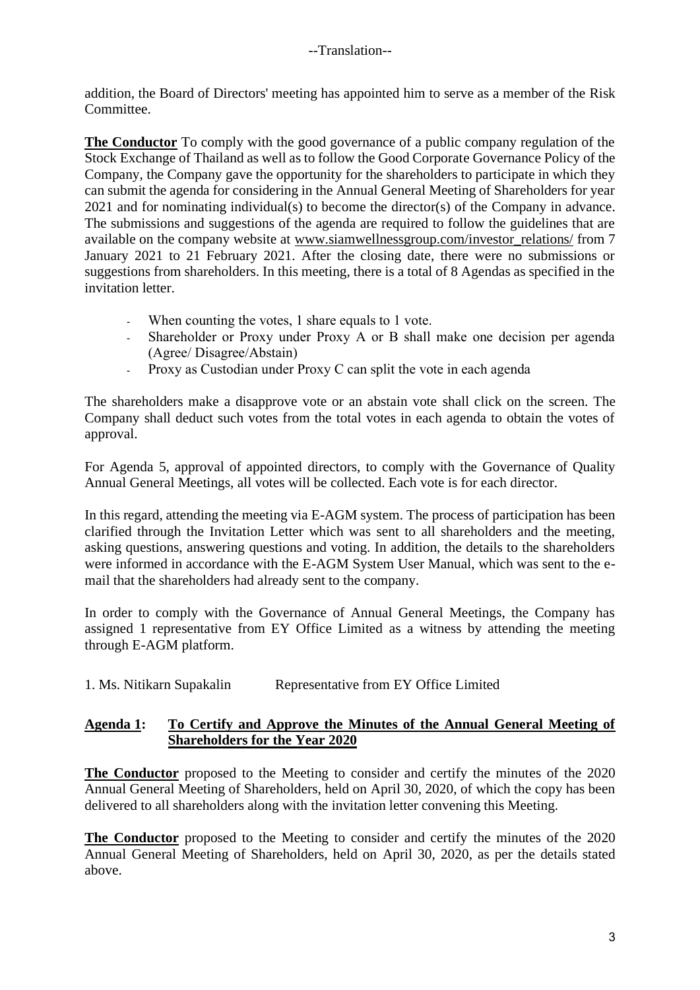addition, the Board of Directors' meeting has appointed him to serve as a member of the Risk Committee.

**The Conductor** To comply with the good governance of a public company regulation of the Stock Exchange of Thailand as well as to follow the Good Corporate Governance Policy of the Company, the Company gave the opportunity for the shareholders to participate in which they can submit the agenda for considering in the Annual General Meeting of Shareholders for year 2021 and for nominating individual(s) to become the director(s) of the Company in advance. The submissions and suggestions of the agenda are required to follow the guidelines that are available on the company website at [www.siamwellnessgroup.com/investor\\_relations/](http://www.siamwellnessgroup.com/investor_relations/) from 7 January 2021 to 21 February 2021. After the closing date, there were no submissions or suggestions from shareholders. In this meeting, there is a total of 8 Agendas as specified in the invitation letter.

- When counting the votes, 1 share equals to 1 vote.
- Shareholder or Proxy under Proxy A or B shall make one decision per agenda (Agree/ Disagree/Abstain)
- Proxy as Custodian under Proxy C can split the vote in each agenda

The shareholders make a disapprove vote or an abstain vote shall click on the screen. The Company shall deduct such votes from the total votes in each agenda to obtain the votes of approval.

For Agenda 5, approval of appointed directors, to comply with the Governance of Quality Annual General Meetings, all votes will be collected. Each vote is for each director.

In this regard, attending the meeting via E-AGM system. The process of participation has been clarified through the Invitation Letter which was sent to all shareholders and the meeting, asking questions, answering questions and voting. In addition, the details to the shareholders were informed in accordance with the E-AGM System User Manual, which was sent to the email that the shareholders had already sent to the company.

In order to comply with the Governance of Annual General Meetings, the Company has assigned 1 representative from EY Office Limited as a witness by attending the meeting through E-AGM platform.

1. Ms. Nitikarn Supakalin Representative from EY Office Limited

## **Agenda 1: To Certify and Approve the Minutes of the Annual General Meeting of Shareholders for the Year 2020**

**The Conductor** proposed to the Meeting to consider and certify the minutes of the 2020 Annual General Meeting of Shareholders, held on April 30, 2020, of which the copy has been delivered to all shareholders along with the invitation letter convening this Meeting.

**The Conductor** proposed to the Meeting to consider and certify the minutes of the 2020 Annual General Meeting of Shareholders, held on April 30, 2020, as per the details stated above.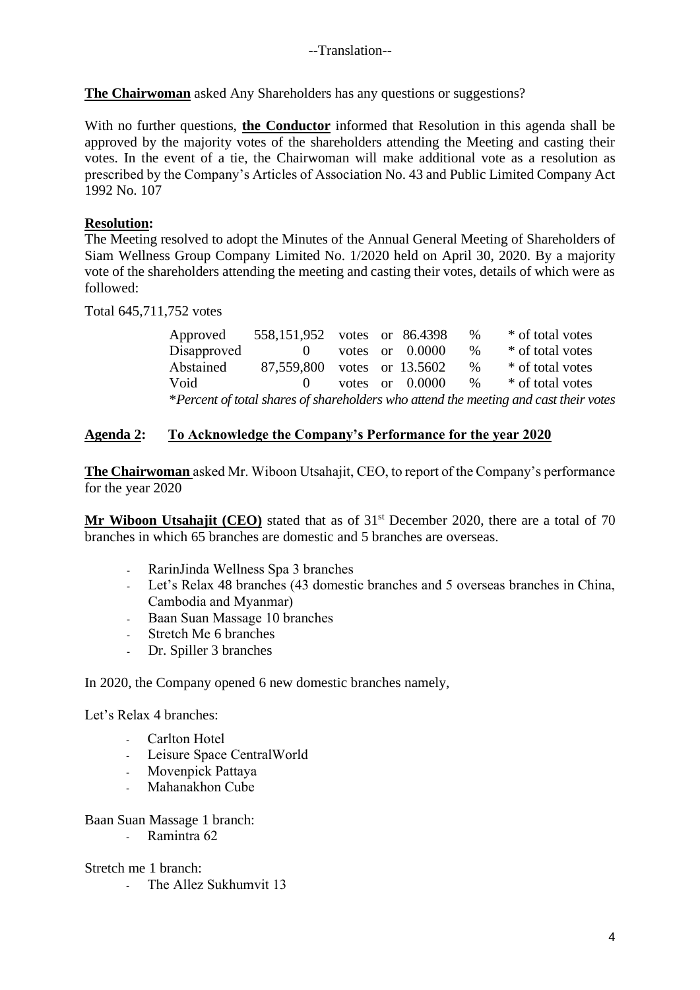**The Chairwoman** asked Any Shareholders has any questions or suggestions?

With no further questions, **the Conductor** informed that Resolution in this agenda shall be approved by the majority votes of the shareholders attending the Meeting and casting their votes. In the event of a tie, the Chairwoman will make additional vote as a resolution as prescribed by the Company's Articles of Association No. 43 and Public Limited Company Act 1992 No. 107

## **Resolution:**

The Meeting resolved to adopt the Minutes of the Annual General Meeting of Shareholders of Siam Wellness Group Company Limited No. 1/2020 held on April 30, 2020. By a majority vote of the shareholders attending the meeting and casting their votes, details of which were as followed:

Total 645,711,752 votes

| Approved                                                                             | 558,151,952 votes or 86.4398 |  |  |                   | %    | * of total votes |
|--------------------------------------------------------------------------------------|------------------------------|--|--|-------------------|------|------------------|
| Disapproved                                                                          | $\Omega$                     |  |  | votes or $0.0000$ | $\%$ | * of total votes |
| Abstained                                                                            | 87,559,800 votes or 13.5602  |  |  |                   | %    | * of total votes |
| Void                                                                                 | $\mathbf{0}$                 |  |  | votes or $0.0000$ | $\%$ | * of total votes |
| *Percent of total shares of shareholders who attend the meeting and cast their votes |                              |  |  |                   |      |                  |

#### **Agenda 2: To Acknowledge the Company's Performance for the year 2020**

**The Chairwoman** asked Mr. Wiboon Utsahajit, CEO, to report of the Company's performance for the year 2020

**Mr Wiboon Utsahajit (CEO)** stated that as of 31<sup>st</sup> December 2020, there are a total of 70 branches in which 65 branches are domestic and 5 branches are overseas.

- RarinJinda Wellness Spa 3 branches
- Let's Relax 48 branches (43 domestic branches and 5 overseas branches in China, Cambodia and Myanmar)
- Baan Suan Massage 10 branches
- Stretch Me 6 branches
- Dr. Spiller 3 branches

In 2020, the Company opened 6 new domestic branches namely,

Let's Relax 4 branches:

- Carlton Hotel
- Leisure Space CentralWorld
- Movenpick Pattaya
- Mahanakhon Cube

Baan Suan Massage 1 branch:

- Ramintra 62

#### Stretch me 1 branch:

- The Allez Sukhumvit 13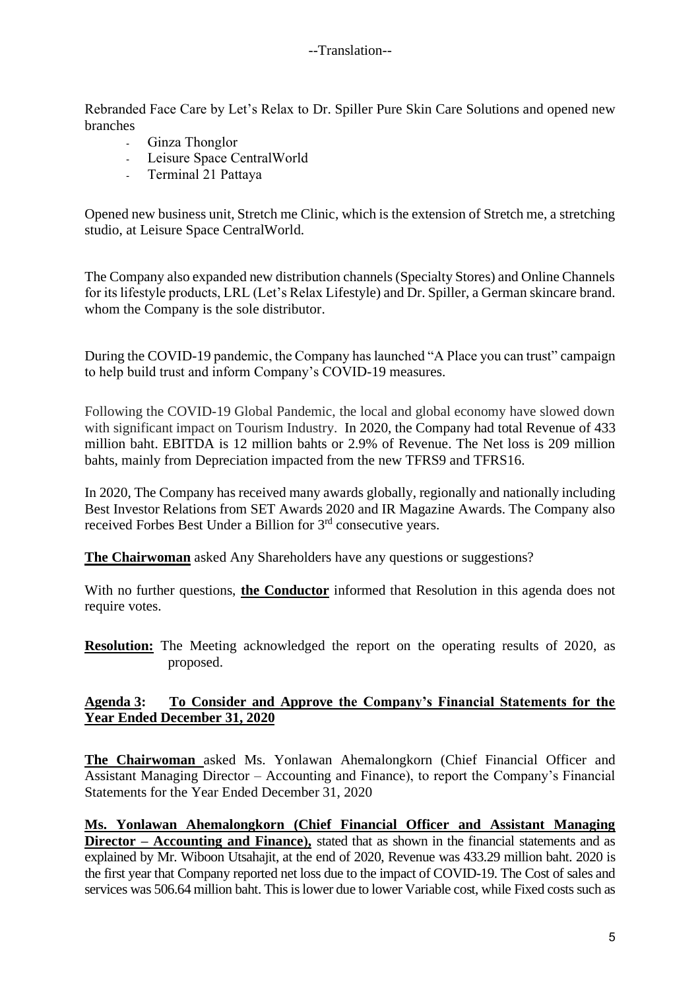Rebranded Face Care by Let's Relax to Dr. Spiller Pure Skin Care Solutions and opened new branches

- Ginza Thonglor
- Leisure Space CentralWorld
- Terminal 21 Pattaya

Opened new business unit, Stretch me Clinic, which is the extension of Stretch me, a stretching studio, at Leisure Space CentralWorld.

The Company also expanded new distribution channels (Specialty Stores) and Online Channels for its lifestyle products, LRL (Let's Relax Lifestyle) and Dr. Spiller, a German skincare brand. whom the Company is the sole distributor.

During the COVID-19 pandemic, the Company has launched "A Place you can trust" campaign to help build trust and inform Company's COVID-19 measures.

Following the COVID-19 Global Pandemic, the local and global economy have slowed down with significant impact on Tourism Industry. In 2020, the Company had total Revenue of 433 million baht. EBITDA is 12 million bahts or 2.9% of Revenue. The Net loss is 209 million bahts, mainly from Depreciation impacted from the new TFRS9 and TFRS16.

In 2020, The Company has received many awards globally, regionally and nationally including Best Investor Relations from SET Awards 2020 and IR Magazine Awards. The Company also received Forbes Best Under a Billion for 3rd consecutive years.

**The Chairwoman** asked Any Shareholders have any questions or suggestions?

With no further questions, **the Conductor** informed that Resolution in this agenda does not require votes.

**Resolution:** The Meeting acknowledged the report on the operating results of 2020, as proposed.

## **Agenda 3: To Consider and Approve the Company's Financial Statements for the Year Ended December 31, 2020**

**The Chairwoman** asked Ms. Yonlawan Ahemalongkorn (Chief Financial Officer and Assistant Managing Director – Accounting and Finance), to report the Company's Financial Statements for the Year Ended December 31, 2020

**Ms. Yonlawan Ahemalongkorn (Chief Financial Officer and Assistant Managing Director – Accounting and Finance),** stated that as shown in the financial statements and as explained by Mr. Wiboon Utsahajit, at the end of 2020, Revenue was 433.29 million baht. 2020 is the first year that Company reported net loss due to the impact of COVID-19. The Cost of sales and services was 506.64 million baht. This is lower due to lower Variable cost, while Fixed costs such as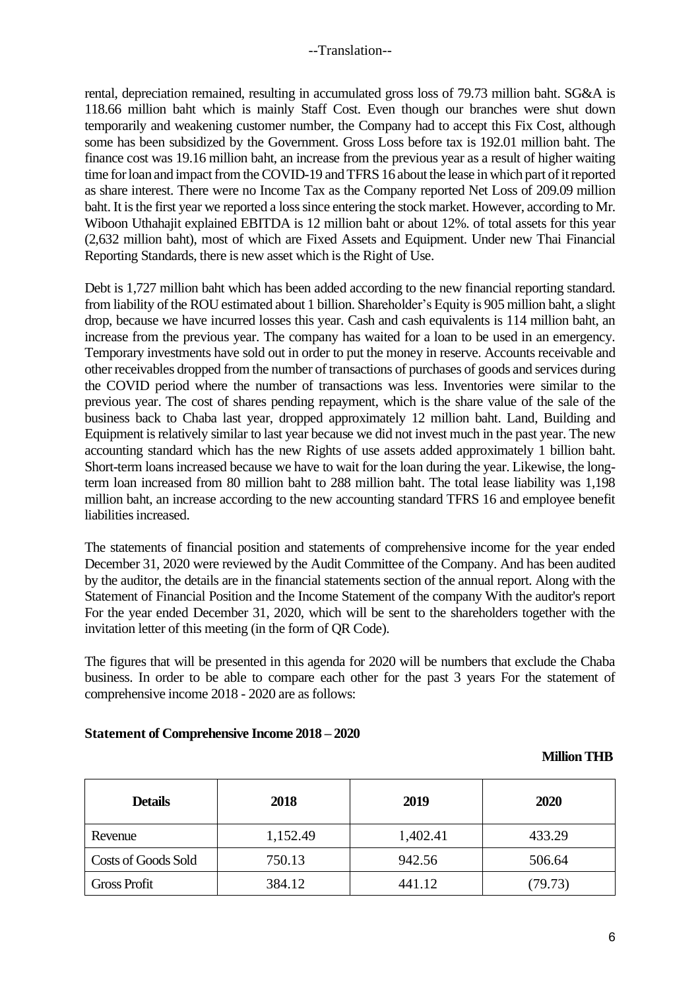rental, depreciation remained, resulting in accumulated gross loss of 79.73 million baht. SG&A is 118.66 million baht which is mainly Staff Cost. Even though our branches were shut down temporarily and weakening customer number, the Company had to accept this Fix Cost, although some has been subsidized by the Government. Gross Loss before tax is 192.01 million baht. The finance cost was 19.16 million baht, an increase from the previous year as a result of higher waiting time for loan and impact from the COVID-19 and TFRS 16 about the lease in which part of it reported as share interest. There were no Income Tax as the Company reported Net Loss of 209.09 million baht. It is the first year we reported a loss since entering the stock market. However, according to Mr. Wiboon Uthahajit explained EBITDA is 12 million baht or about 12%. of total assets for this year (2,632 million baht), most of which are Fixed Assets and Equipment. Under new Thai Financial Reporting Standards, there is new asset which is the Right of Use.

Debt is 1,727 million baht which has been added according to the new financial reporting standard. from liability of the ROU estimated about 1 billion. Shareholder's Equity is 905 million baht, a slight drop, because we have incurred losses this year. Cash and cash equivalents is 114 million baht, an increase from the previous year. The company has waited for a loan to be used in an emergency. Temporary investments have sold out in order to put the money in reserve. Accounts receivable and other receivables dropped from the number of transactions of purchases of goods and services during the COVID period where the number of transactions was less. Inventories were similar to the previous year. The cost of shares pending repayment, which is the share value of the sale of the business back to Chaba last year, dropped approximately 12 million baht. Land, Building and Equipment is relatively similar to last year because we did not invest much in the past year. The new accounting standard which has the new Rights of use assets added approximately 1 billion baht. Short-term loans increased because we have to wait for the loan during the year. Likewise, the longterm loan increased from 80 million baht to 288 million baht. The total lease liability was 1,198 million baht, an increase according to the new accounting standard TFRS 16 and employee benefit liabilities increased.

The statements of financial position and statements of comprehensive income for the year ended December 31, 2020 were reviewed by the Audit Committee of the Company. And has been audited by the auditor, the details are in the financial statements section of the annual report. Along with the Statement of Financial Position and the Income Statement of the company With the auditor's report For the year ended December 31, 2020, which will be sent to the shareholders together with the invitation letter of this meeting (in the form of QR Code).

The figures that will be presented in this agenda for 2020 will be numbers that exclude the Chaba business. In order to be able to compare each other for the past 3 years For the statement of comprehensive income 2018 - 2020 are as follows:

#### **Statement of Comprehensive Income 2018 – 2020**

#### **Million THB**

| <b>Details</b>             | 2018     | 2019     | 2020    |
|----------------------------|----------|----------|---------|
| Revenue                    | 1,152.49 | 1,402.41 | 433.29  |
| <b>Costs of Goods Sold</b> | 750.13   | 942.56   | 506.64  |
| <b>Gross Profit</b>        | 384.12   | 441.12   | (79.73) |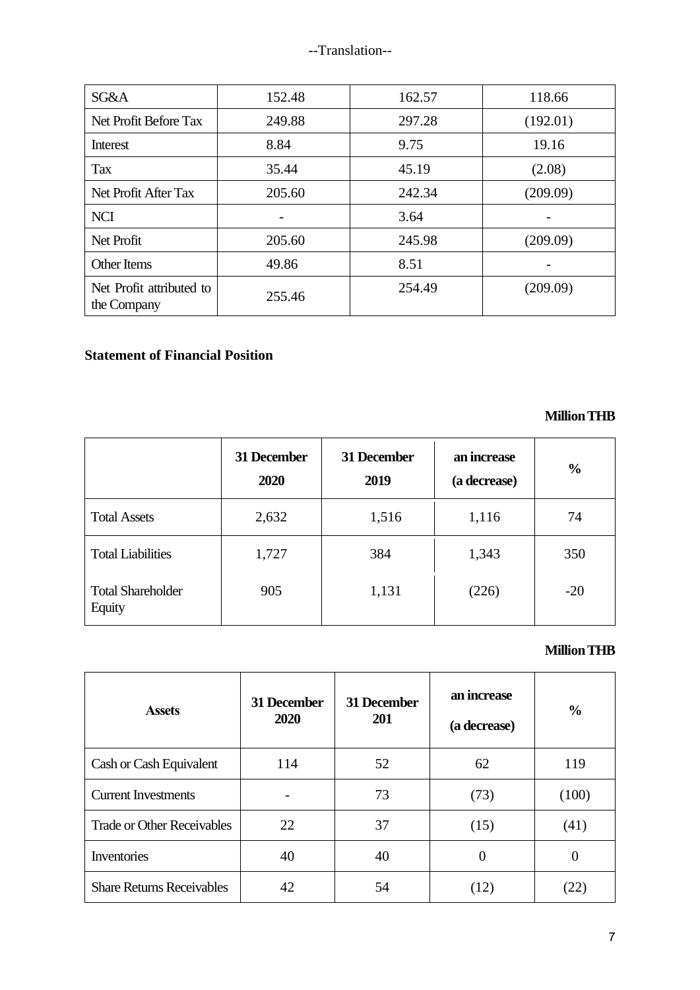| SG&A                                    | 152.48 | 162.57 | 118.66   |
|-----------------------------------------|--------|--------|----------|
| Net Profit Before Tax                   | 249.88 | 297.28 | (192.01) |
| Interest                                | 8.84   | 9.75   | 19.16    |
| <b>Tax</b>                              | 35.44  | 45.19  | (2.08)   |
| Net Profit After Tax                    | 205.60 | 242.34 | (209.09) |
| <b>NCI</b>                              |        | 3.64   |          |
| Net Profit                              | 205.60 | 245.98 | (209.09) |
| Other Items                             | 49.86  | 8.51   |          |
| Net Profit attributed to<br>the Company | 255.46 | 254.49 | (209.09) |

# **Statement of Financial Position**

 **Million THB**

|                                    | 31 December<br>2020 | 31 December<br>2019 | an increase<br>(a decrease) | $\frac{0}{0}$ |
|------------------------------------|---------------------|---------------------|-----------------------------|---------------|
| <b>Total Assets</b>                | 2,632               | 1,516               | 1,116                       | 74            |
| <b>Total Liabilities</b>           | 1,727               | 384                 | 1,343                       | 350           |
| <b>Total Shareholder</b><br>Equity | 905                 | 1,131               | (226)                       | $-20$         |

## **Million THB**

| <b>Assets</b>                     | <b>31 December</b><br>2020 | 31 December<br>201 | an increase<br>(a decrease) | $\frac{6}{6}$ |
|-----------------------------------|----------------------------|--------------------|-----------------------------|---------------|
| Cash or Cash Equivalent           | 114                        | 52                 | 62                          | 119           |
| <b>Current Investments</b>        |                            | 73                 | (73)                        | (100)         |
| <b>Trade or Other Receivables</b> | 22                         | 37                 | (15)                        | (41)          |
| Inventories                       | 40                         | 40                 | 0                           |               |
| <b>Share Returns Receivables</b>  | 42                         | 54                 | (12)                        |               |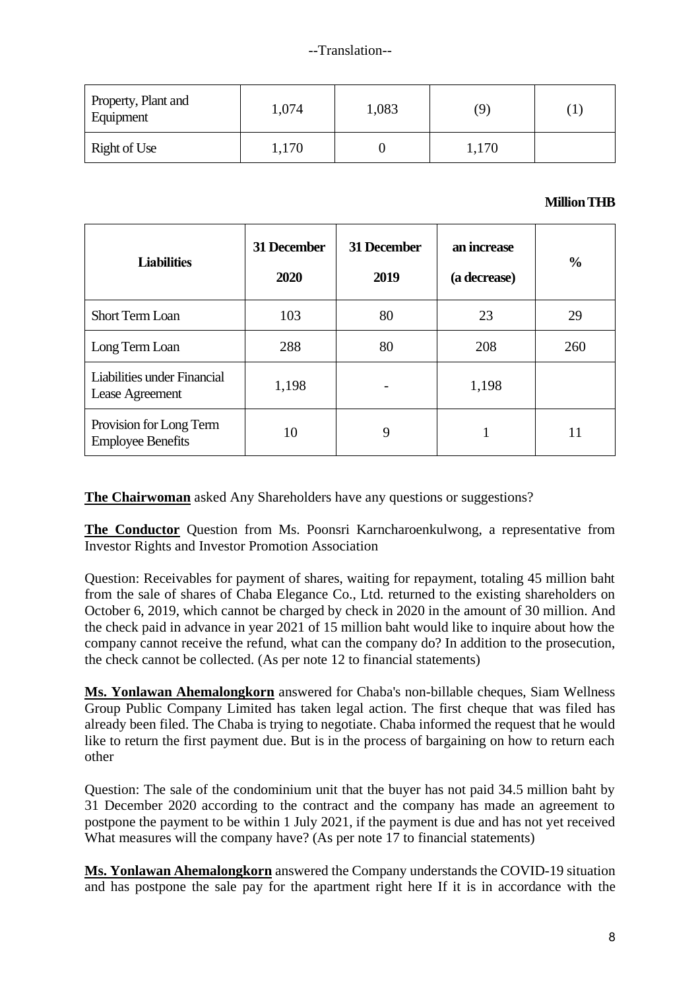| Property, Plant and<br>Equipment | 1,074 | 1,083 | 9     |  |
|----------------------------------|-------|-------|-------|--|
| Right of Use                     | 1,170 |       | 1,170 |  |

#### **Million THB**

| <b>Liabilities</b>                                  | 31 December<br>2020 | 31 December<br>2019 | an increase<br>(a decrease) | $\frac{6}{9}$ |
|-----------------------------------------------------|---------------------|---------------------|-----------------------------|---------------|
| <b>Short Term Loan</b>                              | 103                 | 80                  | 23                          | 29            |
| Long Term Loan                                      | 288                 | 80                  | 208                         | 260           |
| Liabilities under Financial<br>Lease Agreement      | 1,198               |                     |                             |               |
| Provision for Long Term<br><b>Employee Benefits</b> | 10                  | 9                   |                             |               |

**The Chairwoman** asked Any Shareholders have any questions or suggestions?

**The Conductor** Question from Ms. Poonsri Karncharoenkulwong, a representative from Investor Rights and Investor Promotion Association

Question: Receivables for payment of shares, waiting for repayment, totaling 45 million baht from the sale of shares of Chaba Elegance Co., Ltd. returned to the existing shareholders on October 6, 2019, which cannot be charged by check in 2020 in the amount of 30 million. And the check paid in advance in year 2021 of 15 million baht would like to inquire about how the company cannot receive the refund, what can the company do? In addition to the prosecution, the check cannot be collected. (As per note 12 to financial statements)

**Ms. Yonlawan Ahemalongkorn** answered for Chaba's non-billable cheques, Siam Wellness Group Public Company Limited has taken legal action. The first cheque that was filed has already been filed. The Chaba is trying to negotiate. Chaba informed the request that he would like to return the first payment due. But is in the process of bargaining on how to return each other

Question: The sale of the condominium unit that the buyer has not paid 34.5 million baht by 31 December 2020 according to the contract and the company has made an agreement to postpone the payment to be within 1 July 2021, if the payment is due and has not yet received What measures will the company have? (As per note 17 to financial statements)

**Ms. Yonlawan Ahemalongkorn** answered the Company understands the COVID-19 situation and has postpone the sale pay for the apartment right here If it is in accordance with the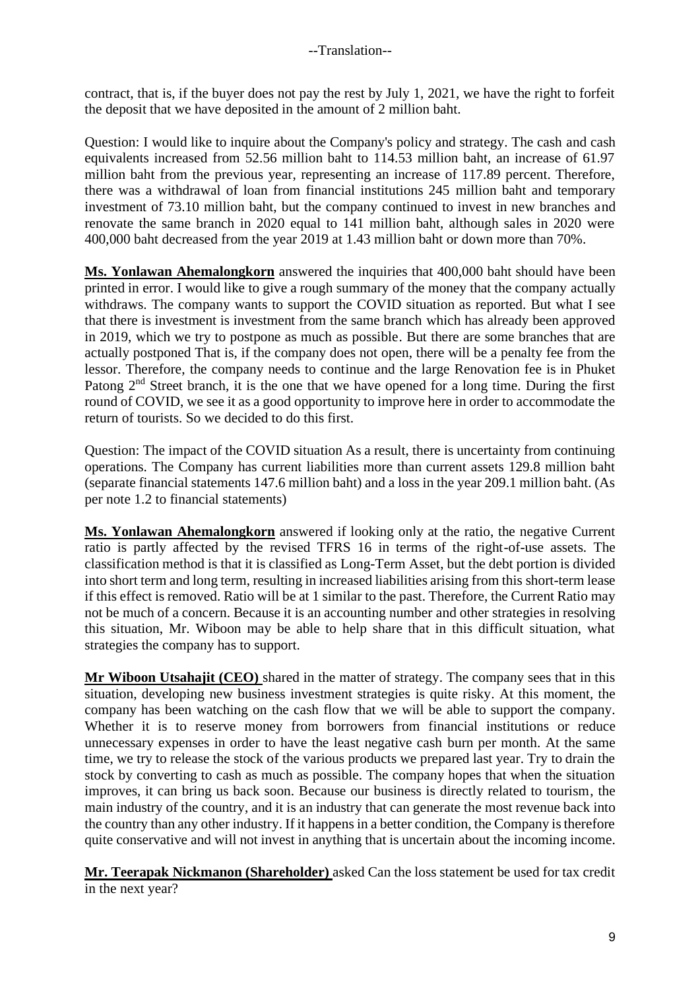contract, that is, if the buyer does not pay the rest by July 1, 2021, we have the right to forfeit the deposit that we have deposited in the amount of 2 million baht.

Question: I would like to inquire about the Company's policy and strategy. The cash and cash equivalents increased from 52.56 million baht to 114.53 million baht, an increase of 61.97 million baht from the previous year, representing an increase of 117.89 percent. Therefore, there was a withdrawal of loan from financial institutions 245 million baht and temporary investment of 73.10 million baht, but the company continued to invest in new branches and renovate the same branch in 2020 equal to 141 million baht, although sales in 2020 were 400,000 baht decreased from the year 2019 at 1.43 million baht or down more than 70%.

**Ms. Yonlawan Ahemalongkorn** answered the inquiries that 400,000 baht should have been printed in error. I would like to give a rough summary of the money that the company actually withdraws. The company wants to support the COVID situation as reported. But what I see that there is investment is investment from the same branch which has already been approved in 2019, which we try to postpone as much as possible. But there are some branches that are actually postponed That is, if the company does not open, there will be a penalty fee from the lessor. Therefore, the company needs to continue and the large Renovation fee is in Phuket Patong  $2<sup>nd</sup>$  Street branch, it is the one that we have opened for a long time. During the first round of COVID, we see it as a good opportunity to improve here in order to accommodate the return of tourists. So we decided to do this first.

Question: The impact of the COVID situation As a result, there is uncertainty from continuing operations. The Company has current liabilities more than current assets 129.8 million baht (separate financial statements 147.6 million baht) and a loss in the year 209.1 million baht. (As per note 1.2 to financial statements)

**Ms. Yonlawan Ahemalongkorn** answered if looking only at the ratio, the negative Current ratio is partly affected by the revised TFRS 16 in terms of the right-of-use assets. The classification method is that it is classified as Long-Term Asset, but the debt portion is divided into short term and long term, resulting in increased liabilities arising from this short-term lease if this effect is removed. Ratio will be at 1 similar to the past. Therefore, the Current Ratio may not be much of a concern. Because it is an accounting number and other strategies in resolving this situation, Mr. Wiboon may be able to help share that in this difficult situation, what strategies the company has to support.

**Mr Wiboon Utsahajit (CEO)** shared in the matter of strategy. The company sees that in this situation, developing new business investment strategies is quite risky. At this moment, the company has been watching on the cash flow that we will be able to support the company. Whether it is to reserve money from borrowers from financial institutions or reduce unnecessary expenses in order to have the least negative cash burn per month. At the same time, we try to release the stock of the various products we prepared last year. Try to drain the stock by converting to cash as much as possible. The company hopes that when the situation improves, it can bring us back soon. Because our business is directly related to tourism, the main industry of the country, and it is an industry that can generate the most revenue back into the country than any other industry. If it happens in a better condition, the Company is therefore quite conservative and will not invest in anything that is uncertain about the incoming income.

**Mr. Teerapak Nickmanon (Shareholder)** asked Can the loss statement be used for tax credit in the next year?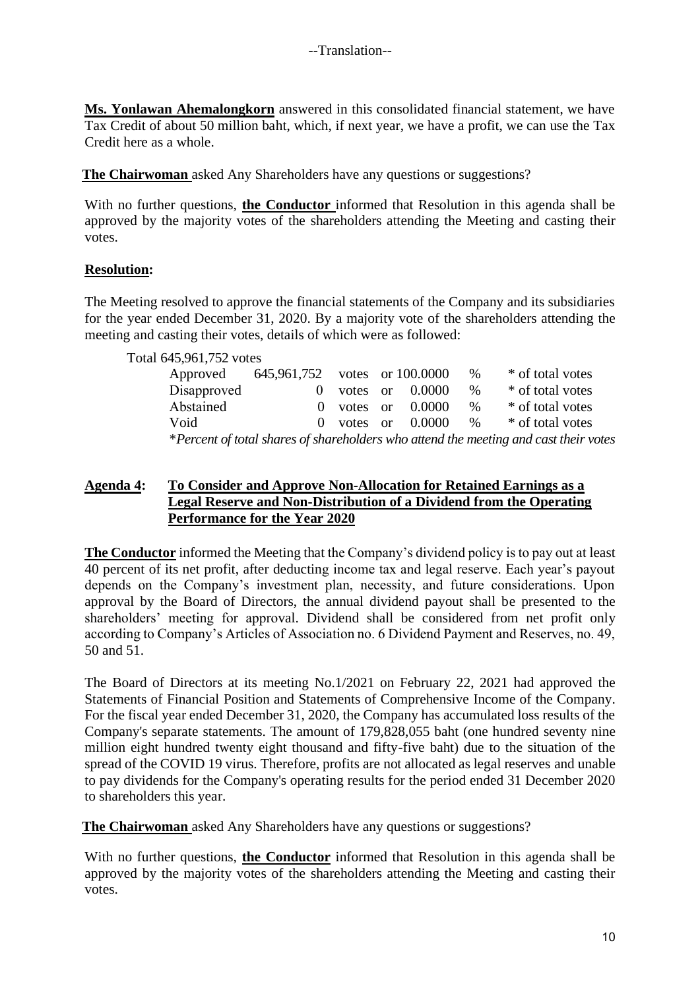**Ms. Yonlawan Ahemalongkorn** answered in this consolidated financial statement, we have Tax Credit of about 50 million baht, which, if next year, we have a profit, we can use the Tax Credit here as a whole.

**The Chairwoman** asked Any Shareholders have any questions or suggestions?

With no further questions, **the Conductor** informed that Resolution in this agenda shall be approved by the majority votes of the shareholders attending the Meeting and casting their votes.

## **Resolution:**

The Meeting resolved to approve the financial statements of the Company and its subsidiaries for the year ended December 31, 2020. By a majority vote of the shareholders attending the meeting and casting their votes, details of which were as followed:

| Total 645,961,752 votes |                               |          |                   |      |                                                                                      |
|-------------------------|-------------------------------|----------|-------------------|------|--------------------------------------------------------------------------------------|
| Approved                | 645,961,752 votes or 100.0000 |          |                   | $\%$ | * of total votes                                                                     |
| Disapproved             | $\theta$                      |          | votes or $0.0000$ | $\%$ | * of total votes                                                                     |
| Abstained               | $\theta$                      | votes or | 0.0000            | $\%$ | * of total votes                                                                     |
| Void                    | $\Omega$                      | votes or | 0.0000            | $\%$ | * of total votes                                                                     |
|                         |                               |          |                   |      | *Percent of total shares of shareholders who attend the meeting and cast their votes |

## **Agenda 4: To Consider and Approve Non-Allocation for Retained Earnings as a Legal Reserve and Non-Distribution of a Dividend from the Operating Performance for the Year 2020**

**The Conductor** informed the Meeting that the Company's dividend policy is to pay out at least 40 percent of its net profit, after deducting income tax and legal reserve. Each year's payout depends on the Company's investment plan, necessity, and future considerations. Upon approval by the Board of Directors, the annual dividend payout shall be presented to the shareholders' meeting for approval. Dividend shall be considered from net profit only according to Company's Articles of Association no. 6 Dividend Payment and Reserves, no. 49, 50 and 51.

The Board of Directors at its meeting No.1/2021 on February 22, 2021 had approved the Statements of Financial Position and Statements of Comprehensive Income of the Company. For the fiscal year ended December 31, 2020, the Company has accumulated loss results of the Company's separate statements. The amount of 179,828,055 baht (one hundred seventy nine million eight hundred twenty eight thousand and fifty-five baht) due to the situation of the spread of the COVID 19 virus. Therefore, profits are not allocated as legal reserves and unable to pay dividends for the Company's operating results for the period ended 31 December 2020 to shareholders this year.

**The Chairwoman** asked Any Shareholders have any questions or suggestions?

With no further questions, **the Conductor** informed that Resolution in this agenda shall be approved by the majority votes of the shareholders attending the Meeting and casting their votes.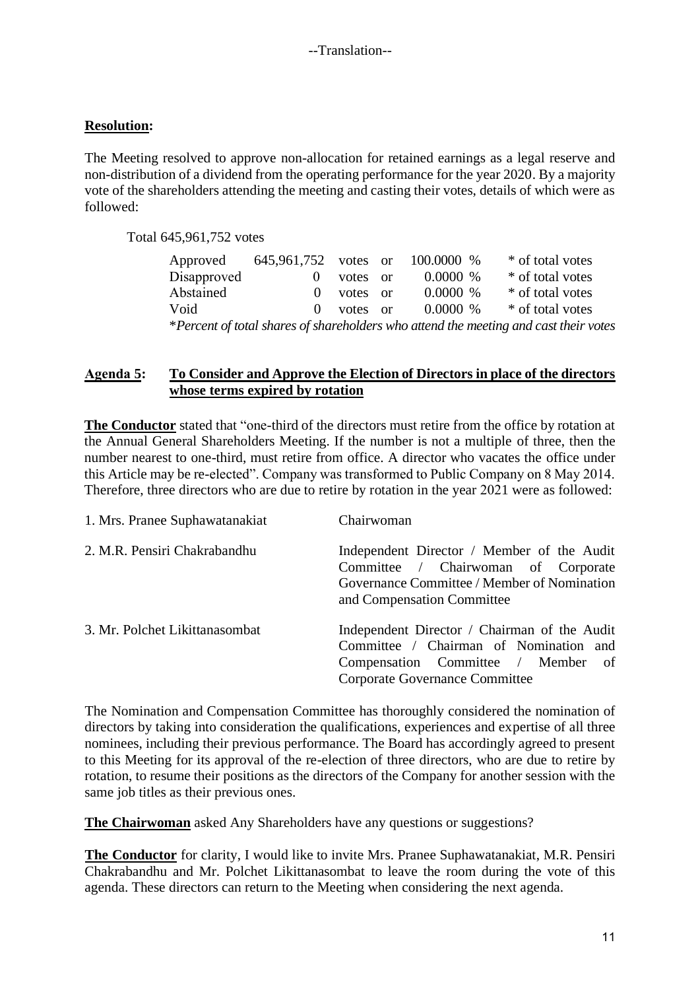#### **Resolution:**

The Meeting resolved to approve non-allocation for retained earnings as a legal reserve and non-distribution of a dividend from the operating performance for the year 2020. By a majority vote of the shareholders attending the meeting and casting their votes, details of which were as followed:

Total 645,961,752 votes

| Approved                                                                             | 645,961,752 votes or |          |  | 100.0000 % | * of total votes |
|--------------------------------------------------------------------------------------|----------------------|----------|--|------------|------------------|
| Disapproved                                                                          |                      | votes or |  | $0.0000\%$ | * of total votes |
| Abstained                                                                            | $\mathbf{O}$         | votes or |  | $0.0000\%$ | * of total votes |
| Void                                                                                 | $\Omega$             | votes or |  | $0.0000\%$ | * of total votes |
| *Percent of total shares of shareholders who attend the meeting and cast their votes |                      |          |  |            |                  |

#### **Agenda 5: To Consider and Approve the Election of Directors in place of the directors whose terms expired by rotation**

**The Conductor** stated that "one-third of the directors must retire from the office by rotation at the Annual General Shareholders Meeting. If the number is not a multiple of three, then the number nearest to one-third, must retire from office. A director who vacates the office under this Article may be re-elected". Company was transformed to Public Company on 8 May 2014. Therefore, three directors who are due to retire by rotation in the year 2021 were as followed:

| 1. Mrs. Pranee Suphawatanakiat | Chairwoman                                                                                                                                                     |
|--------------------------------|----------------------------------------------------------------------------------------------------------------------------------------------------------------|
| 2. M.R. Pensiri Chakrabandhu   | Independent Director / Member of the Audit<br>Committee / Chairwoman of Corporate<br>Governance Committee / Member of Nomination<br>and Compensation Committee |
| 3. Mr. Polchet Likittanasombat | Independent Director / Chairman of the Audit<br>Committee / Chairman of Nomination and<br>Compensation Committee / Member of<br>Corporate Governance Committee |

The Nomination and Compensation Committee has thoroughly considered the nomination of directors by taking into consideration the qualifications, experiences and expertise of all three nominees, including their previous performance. The Board has accordingly agreed to present to this Meeting for its approval of the re-election of three directors, who are due to retire by rotation, to resume their positions as the directors of the Company for another session with the same job titles as their previous ones.

**The Chairwoman** asked Any Shareholders have any questions or suggestions?

**The Conductor** for clarity, I would like to invite Mrs. Pranee Suphawatanakiat, M.R. Pensiri Chakrabandhu and Mr. Polchet Likittanasombat to leave the room during the vote of this agenda. These directors can return to the Meeting when considering the next agenda.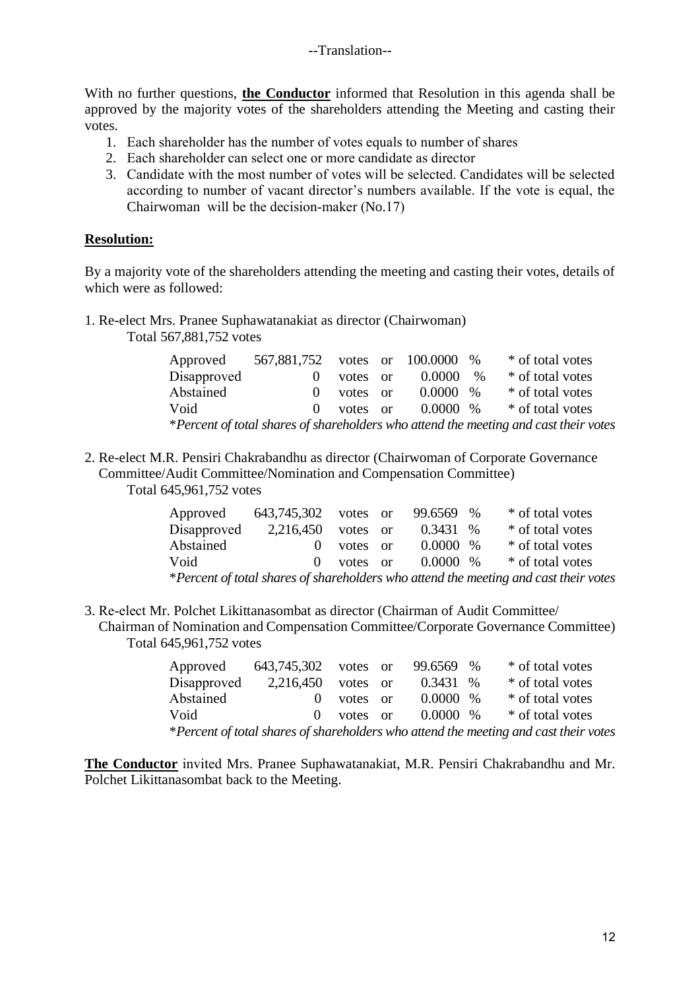With no further questions, **the Conductor** informed that Resolution in this agenda shall be approved by the majority votes of the shareholders attending the Meeting and casting their votes.

- 1. Each shareholder has the number of votes equals to number of shares
- 2. Each shareholder can select one or more candidate as director
- 3. Candidate with the most number of votes will be selected. Candidates will be selected according to number of vacant director's numbers available. If the vote is equal, the Chairwoman will be the decision-maker (No.17)

## **Resolution:**

By a majority vote of the shareholders attending the meeting and casting their votes, details of which were as followed:

1. Re-elect Mrs. Pranee Suphawatanakiat as director (Chairwoman) Total 567,881,752 votes

| Approved    | 567,881,752 votes or 100.0000 % |          |             |      | * of total votes                                                                     |
|-------------|---------------------------------|----------|-------------|------|--------------------------------------------------------------------------------------|
| Disapproved | $\theta$                        | votes or | 0.0000      | $\%$ | * of total votes                                                                     |
| Abstained   | $\theta$                        | votes or | $0.0000 \%$ |      | * of total votes                                                                     |
| Void        | $\Omega$                        | votes or | $0.0000\%$  |      | * of total votes                                                                     |
|             |                                 |          |             |      | *Percent of total shares of shareholders who attend the meeting and cast their votes |

2. Re-elect M.R. Pensiri Chakrabandhu as director (Chairwoman of Corporate Governance Committee/Audit Committee/Nomination and Compensation Committee) Total 645,961,752 votes

| Approved                                                                             | 643,745,302 votes or |            |  | 99.6569 %   |  | * of total votes |
|--------------------------------------------------------------------------------------|----------------------|------------|--|-------------|--|------------------|
| Disapproved                                                                          | 2,216,450            | votes or   |  | $0.3431\%$  |  | * of total votes |
| Abstained                                                                            | $\Omega$             | votes or   |  | $0.0000 \%$ |  | * of total votes |
| Void                                                                                 |                      | 0 votes or |  | $0.0000\%$  |  | * of total votes |
| *Percent of total shares of shareholders who attend the meeting and cast their votes |                      |            |  |             |  |                  |

3. Re-elect Mr. Polchet Likittanasombat as director (Chairman of Audit Committee/ Chairman of Nomination and Compensation Committee/Corporate Governance Committee) Total 645,961,752 votes

| Approved    | 643,745,302 votes or |            | 99.6569 %   | * of total votes                                                                     |
|-------------|----------------------|------------|-------------|--------------------------------------------------------------------------------------|
| Disapproved | 2,216,450            | votes or   | $0.3431\%$  | * of total votes                                                                     |
| Abstained   | $\theta$             | votes or   | $0.0000~\%$ | * of total votes                                                                     |
| Void        |                      | 0 votes or | $0.0000~\%$ | * of total votes                                                                     |
|             |                      |            |             | *Percent of total shares of shareholders who attend the meeting and cast their votes |

**The Conductor** invited Mrs. Pranee Suphawatanakiat, M.R. Pensiri Chakrabandhu and Mr. Polchet Likittanasombat back to the Meeting.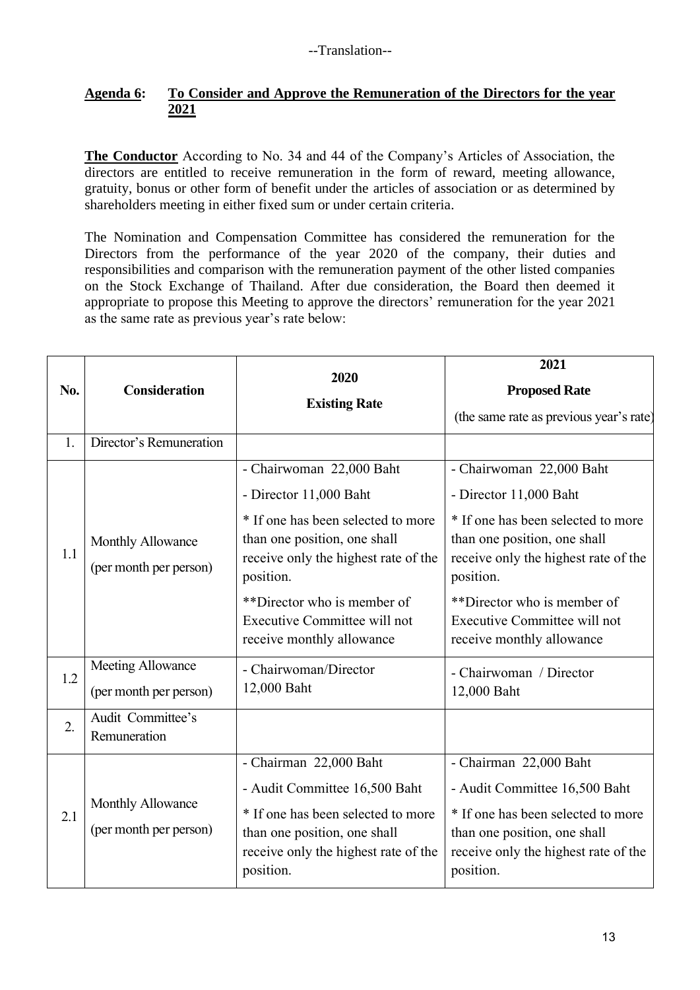## **Agenda 6: To Consider and Approve the Remuneration of the Directors for the year 2021**

**The Conductor** According to No. 34 and 44 of the Company's Articles of Association, the directors are entitled to receive remuneration in the form of reward, meeting allowance, gratuity, bonus or other form of benefit under the articles of association or as determined by shareholders meeting in either fixed sum or under certain criteria.

The Nomination and Compensation Committee has considered the remuneration for the Directors from the performance of the year 2020 of the company, their duties and responsibilities and comparison with the remuneration payment of the other listed companies on the Stock Exchange of Thailand. After due consideration, the Board then deemed it appropriate to propose this Meeting to approve the directors' remuneration for the year 2021 as the same rate as previous year's rate below:

| No. | <b>Consideration</b>                        | 2020<br><b>Existing Rate</b>                                                                                            | 2021<br><b>Proposed Rate</b><br>(the same rate as previous year's rate)                                                 |  |  |
|-----|---------------------------------------------|-------------------------------------------------------------------------------------------------------------------------|-------------------------------------------------------------------------------------------------------------------------|--|--|
| 1.  | Director's Remuneration                     |                                                                                                                         |                                                                                                                         |  |  |
|     |                                             | - Chairwoman 22,000 Baht                                                                                                | - Chairwoman 22,000 Baht                                                                                                |  |  |
|     |                                             | - Director 11,000 Baht                                                                                                  | - Director 11,000 Baht                                                                                                  |  |  |
| 1.1 | Monthly Allowance<br>(per month per person) | * If one has been selected to more<br>than one position, one shall<br>receive only the highest rate of the<br>position. | * If one has been selected to more<br>than one position, one shall<br>receive only the highest rate of the<br>position. |  |  |
|     |                                             | **Director who is member of<br>Executive Committee will not<br>receive monthly allowance                                | **Director who is member of<br>Executive Committee will not<br>receive monthly allowance                                |  |  |
| 1.2 | Meeting Allowance                           | - Chairwoman/Director                                                                                                   | - Chairwoman / Director                                                                                                 |  |  |
|     | (per month per person)                      | 12,000 Baht                                                                                                             | 12,000 Baht                                                                                                             |  |  |
| 2.  | Audit Committee's<br>Remuneration           |                                                                                                                         |                                                                                                                         |  |  |
|     |                                             | - Chairman 22,000 Baht                                                                                                  | - Chairman 22,000 Baht                                                                                                  |  |  |
| 2.1 |                                             | - Audit Committee 16,500 Baht                                                                                           | - Audit Committee 16,500 Baht                                                                                           |  |  |
|     | Monthly Allowance<br>(per month per person) | * If one has been selected to more<br>than one position, one shall<br>receive only the highest rate of the<br>position. | * If one has been selected to more<br>than one position, one shall<br>receive only the highest rate of the<br>position. |  |  |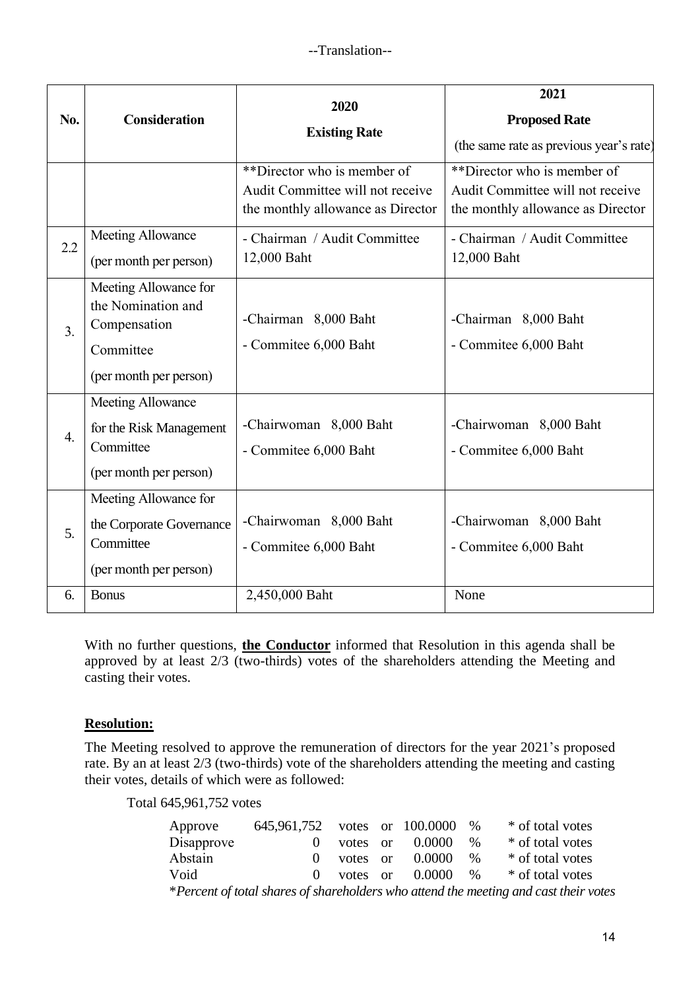| No.              | <b>Consideration</b>                                                                               | 2020<br><b>Existing Rate</b>                                                                         | 2021<br><b>Proposed Rate</b><br>(the same rate as previous year's rate)                              |  |  |  |
|------------------|----------------------------------------------------------------------------------------------------|------------------------------------------------------------------------------------------------------|------------------------------------------------------------------------------------------------------|--|--|--|
|                  |                                                                                                    | **Director who is member of<br>Audit Committee will not receive<br>the monthly allowance as Director | **Director who is member of<br>Audit Committee will not receive<br>the monthly allowance as Director |  |  |  |
| 2.2              | <b>Meeting Allowance</b><br>(per month per person)                                                 | - Chairman / Audit Committee<br>12,000 Baht                                                          | - Chairman / Audit Committee<br>12,000 Baht                                                          |  |  |  |
| $\overline{3}$ . | Meeting Allowance for<br>the Nomination and<br>Compensation<br>Committee<br>(per month per person) | -Chairman 8,000 Baht<br>- Commitee 6,000 Baht                                                        | -Chairman 8,000 Baht<br>- Commitee 6,000 Baht                                                        |  |  |  |
| $\overline{4}$ . | Meeting Allowance<br>for the Risk Management<br>Committee<br>(per month per person)                | -Chairwoman 8,000 Baht<br>- Commitee 6,000 Baht                                                      | -Chairwoman 8,000 Baht<br>- Commitee 6,000 Baht                                                      |  |  |  |
| 5.               | Meeting Allowance for<br>the Corporate Governance<br>Committee<br>(per month per person)           | -Chairwoman 8,000 Baht<br>- Commitee 6,000 Baht                                                      | -Chairwoman 8,000 Baht<br>- Commitee 6,000 Baht                                                      |  |  |  |
| 6.               | <b>Bonus</b>                                                                                       | 2,450,000 Baht                                                                                       | None                                                                                                 |  |  |  |

With no further questions, **the Conductor** informed that Resolution in this agenda shall be approved by at least 2/3 (two-thirds) votes of the shareholders attending the Meeting and casting their votes.

## **Resolution:**

The Meeting resolved to approve the remuneration of directors for the year 2021's proposed rate. By an at least 2/3 (two-thirds) vote of the shareholders attending the meeting and casting their votes, details of which were as followed:

Total 645,961,752 votes

| Approve    | 645,961,752 votes or 100.0000 |          |                     | $\%$ | * of total votes                                                                     |
|------------|-------------------------------|----------|---------------------|------|--------------------------------------------------------------------------------------|
| Disapprove | $\Omega$                      | votes or | 0.0000              | $\%$ | * of total votes                                                                     |
| Abstain    | $\Omega$                      | votes or | 0.0000              | $\%$ | * of total votes                                                                     |
| Void       | $\Omega$                      |          | votes or $0.0000\%$ |      | * of total votes                                                                     |
|            |                               |          |                     |      | *Percent of total shares of shareholders who attend the meeting and cast their votes |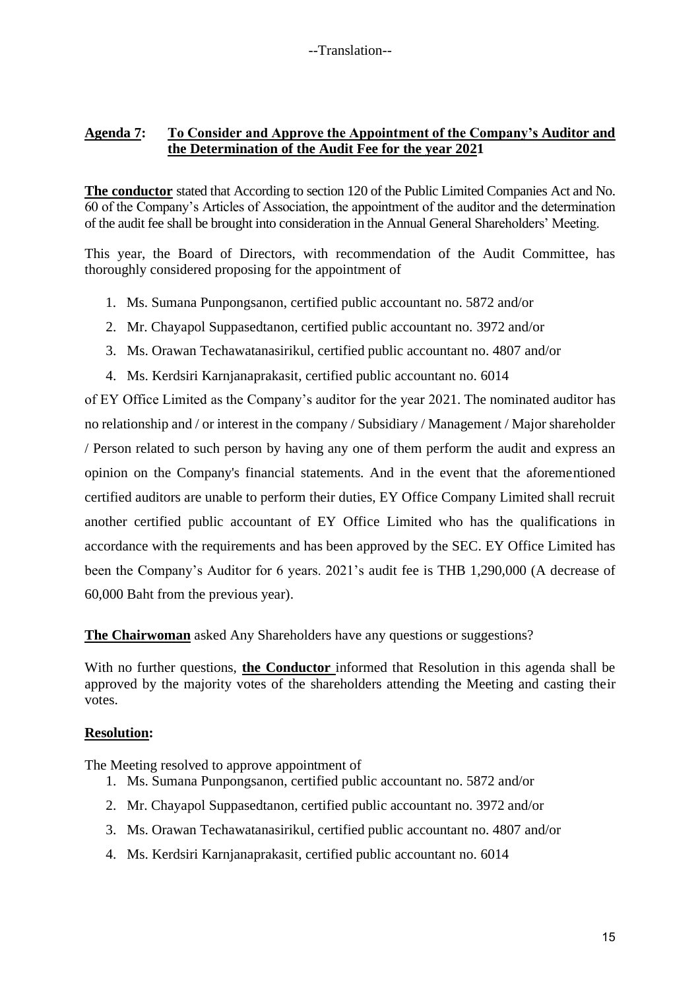## **Agenda 7: To Consider and Approve the Appointment of the Company's Auditor and the Determination of the Audit Fee for the year 2021**

**The conductor** stated that According to section 120 of the Public Limited Companies Act and No. 60 of the Company's Articles of Association, the appointment of the auditor and the determination of the audit fee shall be brought into consideration in the Annual General Shareholders' Meeting.

This year, the Board of Directors, with recommendation of the Audit Committee, has thoroughly considered proposing for the appointment of

- 1. Ms. Sumana Punpongsanon, certified public accountant no. 5872 and/or
- 2. Mr. Chayapol Suppasedtanon, certified public accountant no. 3972 and/or
- 3. Ms. Orawan Techawatanasirikul, certified public accountant no. 4807 and/or
- 4. Ms. Kerdsiri Karnjanaprakasit, certified public accountant no. 6014

of EY Office Limited as the Company's auditor for the year 2021. The nominated auditor has no relationship and / or interest in the company / Subsidiary / Management / Major shareholder / Person related to such person by having any one of them perform the audit and express an opinion on the Company's financial statements. And in the event that the aforementioned certified auditors are unable to perform their duties, EY Office Company Limited shall recruit another certified public accountant of EY Office Limited who has the qualifications in accordance with the requirements and has been approved by the SEC. EY Office Limited has been the Company's Auditor for 6 years. 2021's audit fee is THB 1,290,000 (A decrease of 60,000 Baht from the previous year).

**The Chairwoman** asked Any Shareholders have any questions or suggestions?

With no further questions, **the Conductor** informed that Resolution in this agenda shall be approved by the majority votes of the shareholders attending the Meeting and casting their votes.

#### **Resolution:**

The Meeting resolved to approve appointment of

- 1. Ms. Sumana Punpongsanon, certified public accountant no. 5872 and/or
- 2. Mr. Chayapol Suppasedtanon, certified public accountant no. 3972 and/or
- 3. Ms. Orawan Techawatanasirikul, certified public accountant no. 4807 and/or
- 4. Ms. Kerdsiri Karnjanaprakasit, certified public accountant no. 6014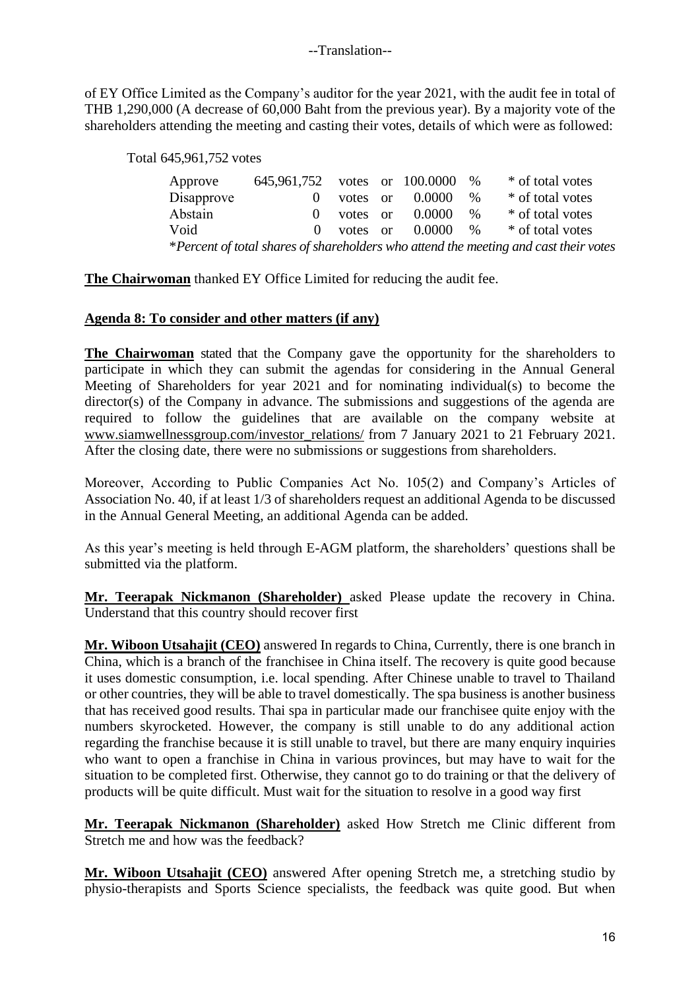of EY Office Limited as the Company's auditor for the year 2021, with the audit fee in total of THB 1,290,000 (A decrease of 60,000 Baht from the previous year). By a majority vote of the shareholders attending the meeting and casting their votes, details of which were as followed:

#### Total 645,961,752 votes

| Approve    | 645,961,752 votes or 100.0000 % |            |        |      | * of total votes                                                                     |
|------------|---------------------------------|------------|--------|------|--------------------------------------------------------------------------------------|
| Disapprove |                                 | votes or   | 0.0000 | $\%$ | * of total votes                                                                     |
| Abstain    | $\Omega$                        | votes or   | 0.0000 | $\%$ | * of total votes                                                                     |
| Void       |                                 | 0 votes or | 0.0000 | $\%$ | * of total votes                                                                     |
|            |                                 |            |        |      | *Percent of total shares of shareholders who attend the meeting and cast their votes |

**The Chairwoman** thanked EY Office Limited for reducing the audit fee.

#### **Agenda 8: To consider and other matters (if any)**

**The Chairwoman** stated that the Company gave the opportunity for the shareholders to participate in which they can submit the agendas for considering in the Annual General Meeting of Shareholders for year 2021 and for nominating individual(s) to become the director(s) of the Company in advance. The submissions and suggestions of the agenda are required to follow the guidelines that are available on the company website at [www.siamwellnessgroup.com/investor\\_relations/](http://www.siamwellnessgroup.com/investor_relations/) from 7 January 2021 to 21 February 2021. After the closing date, there were no submissions or suggestions from shareholders.

Moreover, According to Public Companies Act No. 105(2) and Company's Articles of Association No. 40, if at least 1/3 of shareholders request an additional Agenda to be discussed in the Annual General Meeting, an additional Agenda can be added.

As this year's meeting is held through E-AGM platform, the shareholders' questions shall be submitted via the platform.

**Mr. Teerapak Nickmanon (Shareholder)** asked Please update the recovery in China. Understand that this country should recover first

**Mr. Wiboon Utsahajit (CEO)** answered In regards to China, Currently, there is one branch in China, which is a branch of the franchisee in China itself. The recovery is quite good because it uses domestic consumption, i.e. local spending. After Chinese unable to travel to Thailand or other countries, they will be able to travel domestically. The spa business is another business that has received good results. Thai spa in particular made our franchisee quite enjoy with the numbers skyrocketed. However, the company is still unable to do any additional action regarding the franchise because it is still unable to travel, but there are many enquiry inquiries who want to open a franchise in China in various provinces, but may have to wait for the situation to be completed first. Otherwise, they cannot go to do training or that the delivery of products will be quite difficult. Must wait for the situation to resolve in a good way first

**Mr. Teerapak Nickmanon (Shareholder)** asked How Stretch me Clinic different from Stretch me and how was the feedback?

**Mr. Wiboon Utsahajit (CEO)** answered After opening Stretch me, a stretching studio by physio-therapists and Sports Science specialists, the feedback was quite good. But when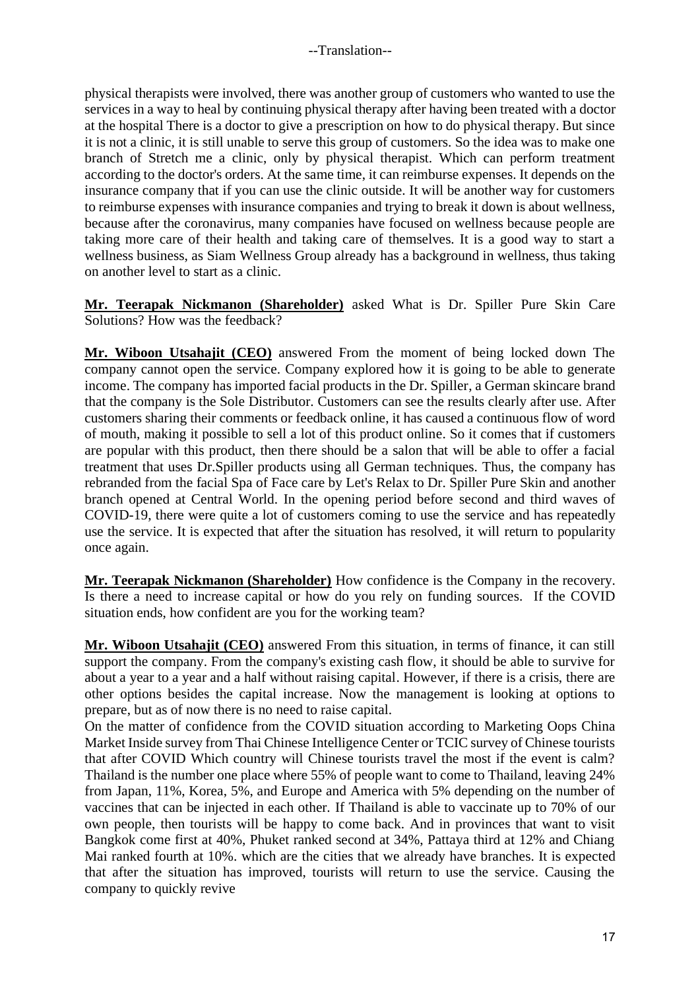physical therapists were involved, there was another group of customers who wanted to use the services in a way to heal by continuing physical therapy after having been treated with a doctor at the hospital There is a doctor to give a prescription on how to do physical therapy. But since it is not a clinic, it is still unable to serve this group of customers. So the idea was to make one branch of Stretch me a clinic, only by physical therapist. Which can perform treatment according to the doctor's orders. At the same time, it can reimburse expenses. It depends on the insurance company that if you can use the clinic outside. It will be another way for customers to reimburse expenses with insurance companies and trying to break it down is about wellness, because after the coronavirus, many companies have focused on wellness because people are taking more care of their health and taking care of themselves. It is a good way to start a wellness business, as Siam Wellness Group already has a background in wellness, thus taking on another level to start as a clinic.

**Mr. Teerapak Nickmanon (Shareholder)** asked What is Dr. Spiller Pure Skin Care Solutions? How was the feedback?

**Mr. Wiboon Utsahajit (CEO)** answered From the moment of being locked down The company cannot open the service. Company explored how it is going to be able to generate income. The company has imported facial products in the Dr. Spiller, a German skincare brand that the company is the Sole Distributor. Customers can see the results clearly after use. After customers sharing their comments or feedback online, it has caused a continuous flow of word of mouth, making it possible to sell a lot of this product online. So it comes that if customers are popular with this product, then there should be a salon that will be able to offer a facial treatment that uses Dr.Spiller products using all German techniques. Thus, the company has rebranded from the facial Spa of Face care by Let's Relax to Dr. Spiller Pure Skin and another branch opened at Central World. In the opening period before second and third waves of COVID-19, there were quite a lot of customers coming to use the service and has repeatedly use the service. It is expected that after the situation has resolved, it will return to popularity once again.

**Mr. Teerapak Nickmanon (Shareholder)** How confidence is the Company in the recovery. Is there a need to increase capital or how do you rely on funding sources. If the COVID situation ends, how confident are you for the working team?

**Mr. Wiboon Utsahajit (CEO)** answered From this situation, in terms of finance, it can still support the company. From the company's existing cash flow, it should be able to survive for about a year to a year and a half without raising capital. However, if there is a crisis, there are other options besides the capital increase. Now the management is looking at options to prepare, but as of now there is no need to raise capital.

On the matter of confidence from the COVID situation according to Marketing Oops China Market Inside survey from Thai Chinese Intelligence Center or TCIC survey of Chinese tourists that after COVID Which country will Chinese tourists travel the most if the event is calm? Thailand is the number one place where 55% of people want to come to Thailand, leaving 24% from Japan, 11%, Korea, 5%, and Europe and America with 5% depending on the number of vaccines that can be injected in each other. If Thailand is able to vaccinate up to 70% of our own people, then tourists will be happy to come back. And in provinces that want to visit Bangkok come first at 40%, Phuket ranked second at 34%, Pattaya third at 12% and Chiang Mai ranked fourth at 10%. which are the cities that we already have branches. It is expected that after the situation has improved, tourists will return to use the service. Causing the company to quickly revive